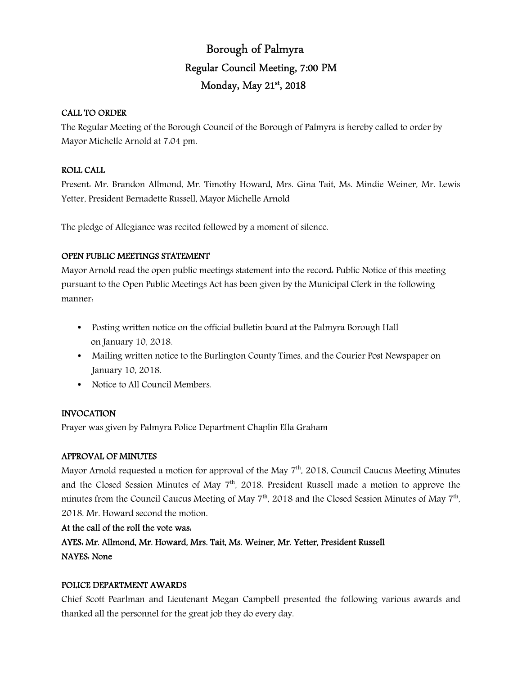# Borough of Palmyra Regular Council Meeting, 7:00 PM Monday, May 21st, 2018

### CALL TO ORDER

The Regular Meeting of the Borough Council of the Borough of Palmyra is hereby called to order by Mayor Michelle Arnold at 7:04 pm.

### ROLL CALL

Present: Mr. Brandon Allmond, Mr. Timothy Howard, Mrs. Gina Tait, Ms. Mindie Weiner, Mr. Lewis Yetter, President Bernadette Russell, Mayor Michelle Arnold

The pledge of Allegiance was recited followed by a moment of silence.

### OPEN PUBLIC MEETINGS STATEMENT

Mayor Arnold read the open public meetings statement into the record: Public Notice of this meeting pursuant to the Open Public Meetings Act has been given by the Municipal Clerk in the following manner:

- Posting written notice on the official bulletin board at the Palmyra Borough Hall on January 10, 2018.
- Mailing written notice to the Burlington County Times, and the Courier Post Newspaper on January 10, 2018.
- Notice to All Council Members.

### INVOCATION

Prayer was given by Palmyra Police Department Chaplin Ella Graham

### APPROVAL OF MINUTES

Mayor Arnold requested a motion for approval of the May  $7<sup>th</sup>$ , 2018, Council Caucus Meeting Minutes and the Closed Session Minutes of May 7<sup>th</sup>, 2018. President Russell made a motion to approve the minutes from the Council Caucus Meeting of May  $7^{\text{th}}$ , 2018 and the Closed Session Minutes of May  $7^{\text{th}}$ , 2018. Mr. Howard second the motion.

### At the call of the roll the vote was:

AYES: Mr. Allmond, Mr. Howard, Mrs. Tait, Ms. Weiner, Mr. Yetter, President Russell NAYES: None

### POLICE DEPARTMENT AWARDS

Chief Scott Pearlman and Lieutenant Megan Campbell presented the following various awards and thanked all the personnel for the great job they do every day.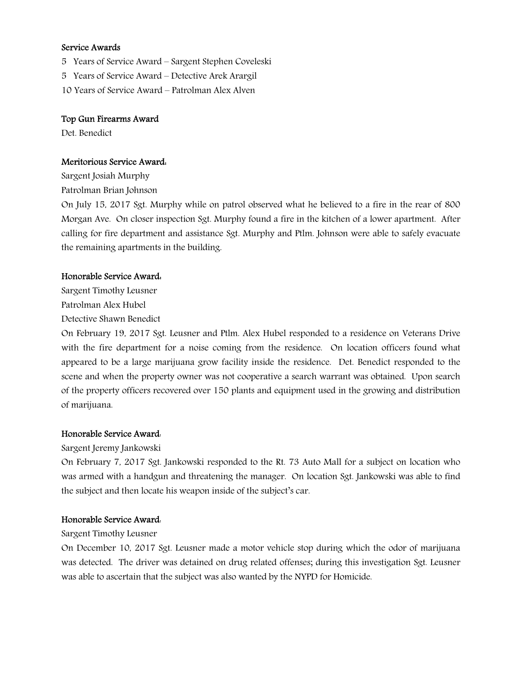### Service Awards

- 5 Years of Service Award Sargent Stephen Coveleski
- 5 Years of Service Award Detective Arek Arargil
- 10 Years of Service Award Patrolman Alex Alven

### Top Gun Firearms Award

Det. Benedict

### Meritorious Service Award:

Sargent Josiah Murphy Patrolman Brian Johnson

On July 15, 2017 Sgt. Murphy while on patrol observed what he believed to a fire in the rear of 800 Morgan Ave. On closer inspection Sgt. Murphy found a fire in the kitchen of a lower apartment. After calling for fire department and assistance Sgt. Murphy and Ptlm. Johnson were able to safely evacuate the remaining apartments in the building.

### Honorable Service Award:

Sargent Timothy Leusner Patrolman Alex Hubel

Detective Shawn Benedict

On February 19, 2017 Sgt. Leusner and Ptlm. Alex Hubel responded to a residence on Veterans Drive with the fire department for a noise coming from the residence. On location officers found what appeared to be a large marijuana grow facility inside the residence. Det. Benedict responded to the scene and when the property owner was not cooperative a search warrant was obtained. Upon search of the property officers recovered over 150 plants and equipment used in the growing and distribution of marijuana.

### Honorable Service Award:

### Sargent Jeremy Jankowski

On February 7, 2017 Sgt. Jankowski responded to the Rt. 73 Auto Mall for a subject on location who was armed with a handgun and threatening the manager. On location Sgt. Jankowski was able to find the subject and then locate his weapon inside of the subject's car.

### Honorable Service Award:

### Sargent Timothy Leusner

On December 10, 2017 Sgt. Leusner made a motor vehicle stop during which the odor of marijuana was detected. The driver was detained on drug related offenses; during this investigation Sgt. Leusner was able to ascertain that the subject was also wanted by the NYPD for Homicide.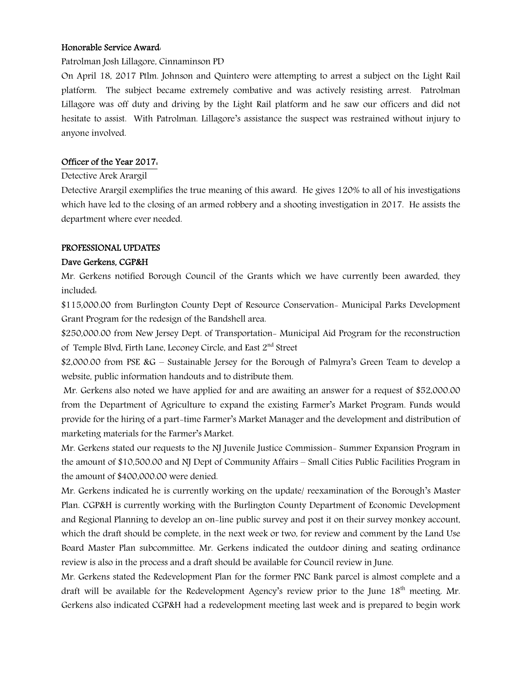### Honorable Service Award:

Patrolman Josh Lillagore, Cinnaminson PD

On April 18, 2017 Ptlm. Johnson and Quintero were attempting to arrest a subject on the Light Rail platform. The subject became extremely combative and was actively resisting arrest. Patrolman Lillagore was off duty and driving by the Light Rail platform and he saw our officers and did not hesitate to assist. With Patrolman. Lillagore's assistance the suspect was restrained without injury to anyone involved.

### Officer of the Year 2017:

### Detective Arek Arargil

Detective Arargil exemplifies the true meaning of this award. He gives 120% to all of his investigations which have led to the closing of an armed robbery and a shooting investigation in 2017. He assists the department where ever needed.

### PROFESSIONAL UPDATES

### Dave Gerkens, CGP&H

Mr. Gerkens notified Borough Council of the Grants which we have currently been awarded, they included:

\$115,000.00 from Burlington County Dept of Resource Conservation- Municipal Parks Development Grant Program for the redesign of the Bandshell area.

\$250,000.00 from New Jersey Dept. of Transportation- Municipal Aid Program for the reconstruction of Temple Blvd, Firth Lane, Leconey Circle, and East 2nd Street

\$2,000.00 from PSE &G – Sustainable Jersey for the Borough of Palmyra's Green Team to develop a website, public information handouts and to distribute them.

 Mr. Gerkens also noted we have applied for and are awaiting an answer for a request of \$52,000.00 from the Department of Agriculture to expand the existing Farmer's Market Program. Funds would provide for the hiring of a part-time Farmer's Market Manager and the development and distribution of marketing materials for the Farmer's Market.

Mr. Gerkens stated our requests to the NJ Juvenile Justice Commission- Summer Expansion Program in the amount of \$10,500.00 and NJ Dept of Community Affairs – Small Cities Public Facilities Program in the amount of \$400,000.00 were denied.

Mr. Gerkens indicated he is currently working on the update/ reexamination of the Borough's Master Plan. CGP&H is currently working with the Burlington County Department of Economic Development and Regional Planning to develop an on-line public survey and post it on their survey monkey account, which the draft should be complete, in the next week or two, for review and comment by the Land Use Board Master Plan subcommittee. Mr. Gerkens indicated the outdoor dining and seating ordinance review is also in the process and a draft should be available for Council review in June.

Mr. Gerkens stated the Redevelopment Plan for the former PNC Bank parcel is almost complete and a draft will be available for the Redevelopment Agency's review prior to the June 18<sup>th</sup> meeting. Mr. Gerkens also indicated CGP&H had a redevelopment meeting last week and is prepared to begin work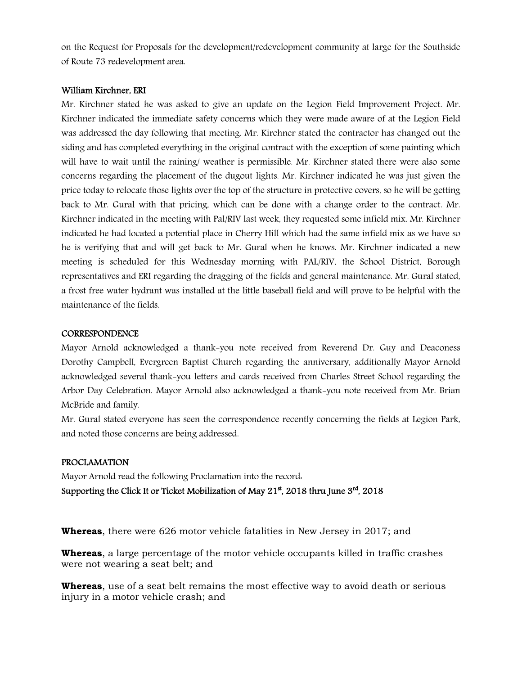on the Request for Proposals for the development/redevelopment community at large for the Southside of Route 73 redevelopment area.

### William Kirchner, ERI

Mr. Kirchner stated he was asked to give an update on the Legion Field Improvement Project. Mr. Kirchner indicated the immediate safety concerns which they were made aware of at the Legion Field was addressed the day following that meeting. Mr. Kirchner stated the contractor has changed out the siding and has completed everything in the original contract with the exception of some painting which will have to wait until the raining/ weather is permissible. Mr. Kirchner stated there were also some concerns regarding the placement of the dugout lights. Mr. Kirchner indicated he was just given the price today to relocate those lights over the top of the structure in protective covers, so he will be getting back to Mr. Gural with that pricing, which can be done with a change order to the contract. Mr. Kirchner indicated in the meeting with Pal/RIV last week, they requested some infield mix. Mr. Kirchner indicated he had located a potential place in Cherry Hill which had the same infield mix as we have so he is verifying that and will get back to Mr. Gural when he knows. Mr. Kirchner indicated a new meeting is scheduled for this Wednesday morning with PAL/RIV, the School District, Borough representatives and ERI regarding the dragging of the fields and general maintenance. Mr. Gural stated, a frost free water hydrant was installed at the little baseball field and will prove to be helpful with the maintenance of the fields.

#### **CORRESPONDENCE**

Mayor Arnold acknowledged a thank-you note received from Reverend Dr. Guy and Deaconess Dorothy Campbell, Evergreen Baptist Church regarding the anniversary, additionally Mayor Arnold acknowledged several thank-you letters and cards received from Charles Street School regarding the Arbor Day Celebration. Mayor Arnold also acknowledged a thank-you note received from Mr. Brian McBride and family.

Mr. Gural stated everyone has seen the correspondence recently concerning the fields at Legion Park, and noted those concerns are being addressed.

### PROCLAMATION

Mayor Arnold read the following Proclamation into the record: Supporting the Click It or Ticket Mobilization of May  $21<sup>st</sup>$ , 2018 thru June  $3<sup>rd</sup>$ , 2018

**Whereas**, there were 626 motor vehicle fatalities in New Jersey in 2017; and

**Whereas**, a large percentage of the motor vehicle occupants killed in traffic crashes were not wearing a seat belt; and

**Whereas**, use of a seat belt remains the most effective way to avoid death or serious injury in a motor vehicle crash; and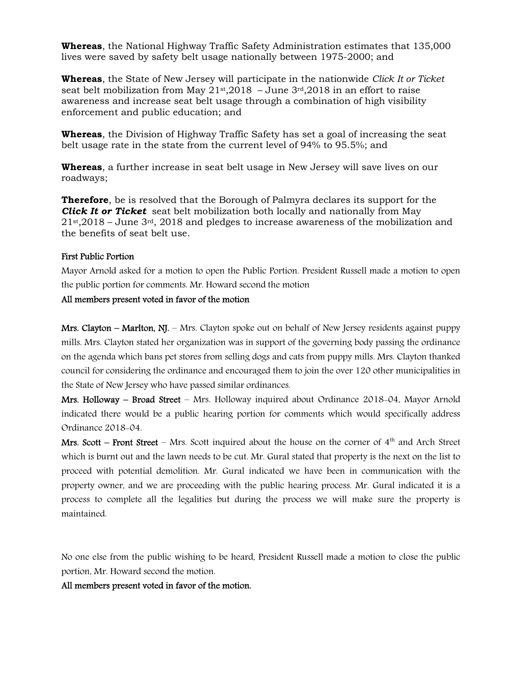**Whereas**, the National Highway Traffic Safety Administration estimates that 135,000 lives were saved by safety belt usage nationally between 1975-2000; and

**Whereas**, the State of New Jersey will participate in the nationwide *Click It or Ticket* seat belt mobilization from May  $21st,2018$  – June  $3rd,2018$  in an effort to raise awareness and increase seat belt usage through a combination of high visibility enforcement and public education; and

**Whereas**, the Division of Highway Traffic Safety has set a goal of increasing the seat belt usage rate in the state from the current level of 94% to 95.5%; and

**Whereas**, a further increase in seat belt usage in New Jersey will save lives on our roadways;

**Therefore**, be is resolved that the Borough of Palmyra declares its support for the *Click It or Ticket* seat belt mobilization both locally and nationally from May  $21$ <sup>st</sup>,2018 – June  $3$ <sup>rd</sup>, 2018 and pledges to increase awareness of the mobilization and the benefits of seat belt use.

### First Public Portion

Mayor Arnold asked for a motion to open the Public Portion. President Russell made a motion to open the public portion for comments. Mr. Howard second the motion

#### All members present voted in favor of the motion

Mrs. Clayton – Marlton, NJ. – Mrs. Clayton spoke out on behalf of New Jersey residents against puppy mills. Mrs. Clayton stated her organization was in support of the governing body passing the ordinance on the agenda which bans pet stores from selling dogs and cats from puppy mills. Mrs. Clayton thanked council for considering the ordinance and encouraged them to join the over 120 other municipalities in the State of New Jersey who have passed similar ordinances.

Mrs. Holloway – Broad Street – Mrs. Holloway inquired about Ordinance 2018-04, Mayor Arnold indicated there would be a public hearing portion for comments which would specifically address Ordinance 2018-04.

Mrs. Scott – Front Street – Mrs. Scott inquired about the house on the corner of  $4<sup>th</sup>$  and Arch Street which is burnt out and the lawn needs to be cut. Mr. Gural stated that property is the next on the list to proceed with potential demolition. Mr. Gural indicated we have been in communication with the property owner, and we are proceeding with the public hearing process. Mr. Gural indicated it is a process to complete all the legalities but during the process we will make sure the property is maintained.

No one else from the public wishing to be heard, President Russell made a motion to close the public portion, Mr. Howard second the motion.

### All members present voted in favor of the motion.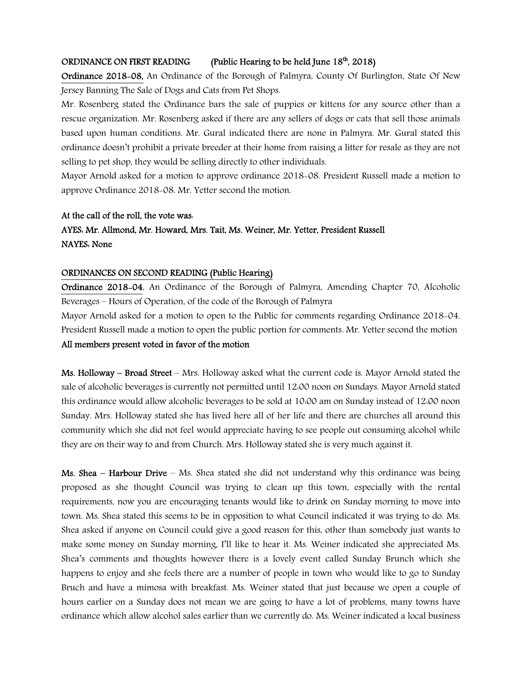### ORDINANCE ON FIRST READING (Public Hearing to be held June  $18<sup>th</sup>$ , 2018)

Ordinance 2018-08, An Ordinance of the Borough of Palmyra, County Of Burlington, State Of New Jersey Banning The Sale of Dogs and Cats from Pet Shops.

Mr. Rosenberg stated the Ordinance bars the sale of puppies or kittens for any source other than a rescue organization. Mr. Rosenberg asked if there are any sellers of dogs or cats that sell those animals based upon human conditions. Mr. Gural indicated there are none in Palmyra. Mr. Gural stated this ordinance doesn't prohibit a private breeder at their home from raising a litter for resale as they are not selling to pet shop, they would be selling directly to other individuals.

Mayor Arnold asked for a motion to approve ordinance 2018-08. President Russell made a motion to approve Ordinance 2018-08. Mr. Yetter second the motion.

#### At the call of the roll, the vote was:

# AYES: Mr. Allmond, Mr. Howard, Mrs. Tait, Ms. Weiner, Mr. Yetter, President Russell NAYES: None

### ORDINANCES ON SECOND READING (Public Hearing)

Ordinance 2018-04, An Ordinance of the Borough of Palmyra, Amending Chapter 70, Alcoholic Beverages – Hours of Operation, of the code of the Borough of Palmyra

Mayor Arnold asked for a motion to open to the Public for comments regarding Ordinance 2018-04. President Russell made a motion to open the public portion for comments. Mr. Yetter second the motion All members present voted in favor of the motion

Ms. Holloway – Broad Street – Mrs. Holloway asked what the current code is. Mayor Arnold stated the sale of alcoholic beverages is currently not permitted until 12:00 noon on Sundays. Mayor Arnold stated this ordinance would allow alcoholic beverages to be sold at 10:00 am on Sunday instead of 12:00 noon Sunday. Mrs. Holloway stated she has lived here all of her life and there are churches all around this community which she did not feel would appreciate having to see people out consuming alcohol while they are on their way to and from Church. Mrs. Holloway stated she is very much against it.

**Ms. Shea – Harbour Drive –** Ms. Shea stated she did not understand why this ordinance was being proposed as she thought Council was trying to clean up this town, especially with the rental requirements, now you are encouraging tenants would like to drink on Sunday morning to move into town. Ms. Shea stated this seems to be in opposition to what Council indicated it was trying to do. Ms. Shea asked if anyone on Council could give a good reason for this, other than somebody just wants to make some money on Sunday morning, I'll like to hear it. Ms. Weiner indicated she appreciated Ms. Shea's comments and thoughts however there is a lovely event called Sunday Brunch which she happens to enjoy and she feels there are a number of people in town who would like to go to Sunday Bruch and have a mimosa with breakfast. Ms. Weiner stated that just because we open a couple of hours earlier on a Sunday does not mean we are going to have a lot of problems, many towns have ordinance which allow alcohol sales earlier than we currently do. Ms. Weiner indicated a local business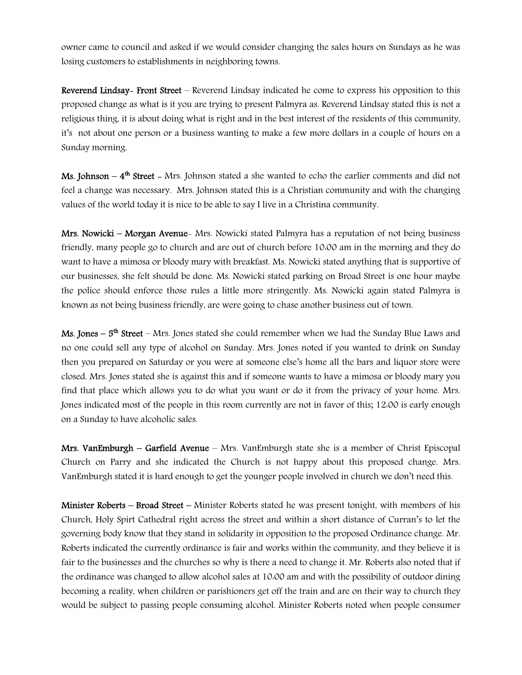owner came to council and asked if we would consider changing the sales hours on Sundays as he was losing customers to establishments in neighboring towns.

Reverend Lindsay- Front Street – Reverend Lindsay indicated he come to express his opposition to this proposed change as what is it you are trying to present Palmyra as. Reverend Lindsay stated this is not a religious thing, it is about doing what is right and in the best interest of the residents of this community, it's not about one person or a business wanting to make a few more dollars in a couple of hours on a Sunday morning.

**Ms. Johnson –**  $4<sup>th</sup>$  **Street –** Mrs. Johnson stated a she wanted to echo the earlier comments and did not feel a change was necessary. Mrs. Johnson stated this is a Christian community and with the changing values of the world today it is nice to be able to say I live in a Christina community.

Mrs. Nowicki – Morgan Avenue- Mrs. Nowicki stated Palmyra has a reputation of not being business friendly, many people go to church and are out of church before 10:00 am in the morning and they do want to have a mimosa or bloody mary with breakfast. Ms. Nowicki stated anything that is supportive of our businesses, she felt should be done. Ms. Nowicki stated parking on Broad Street is one hour maybe the police should enforce those rules a little more stringently. Ms. Nowicki again stated Palmyra is known as not being business friendly, are were going to chase another business out of town.

**Ms. Jones – 5<sup>th</sup> Street –** Mrs. Jones stated she could remember when we had the Sunday Blue Laws and no one could sell any type of alcohol on Sunday. Mrs. Jones noted if you wanted to drink on Sunday then you prepared on Saturday or you were at someone else's home all the bars and liquor store were closed. Mrs. Jones stated she is against this and if someone wants to have a mimosa or bloody mary you find that place which allows you to do what you want or do it from the privacy of your home. Mrs. Jones indicated most of the people in this room currently are not in favor of this; 12:00 is early enough on a Sunday to have alcoholic sales.

Mrs. VanEmburgh – Garfield Avenue – Mrs. VanEmburgh state she is a member of Christ Episcopal Church on Parry and she indicated the Church is not happy about this proposed change. Mrs. VanEmburgh stated it is hard enough to get the younger people involved in church we don't need this.

Minister Roberts – Broad Street – Minister Roberts stated he was present tonight, with members of his Church, Holy Spirt Cathedral right across the street and within a short distance of Curran's to let the governing body know that they stand in solidarity in opposition to the proposed Ordinance change. Mr. Roberts indicated the currently ordinance is fair and works within the community, and they believe it is fair to the businesses and the churches so why is there a need to change it. Mr. Roberts also noted that if the ordinance was changed to allow alcohol sales at 10:00 am and with the possibility of outdoor dining becoming a reality, when children or parishioners get off the train and are on their way to church they would be subject to passing people consuming alcohol. Minister Roberts noted when people consumer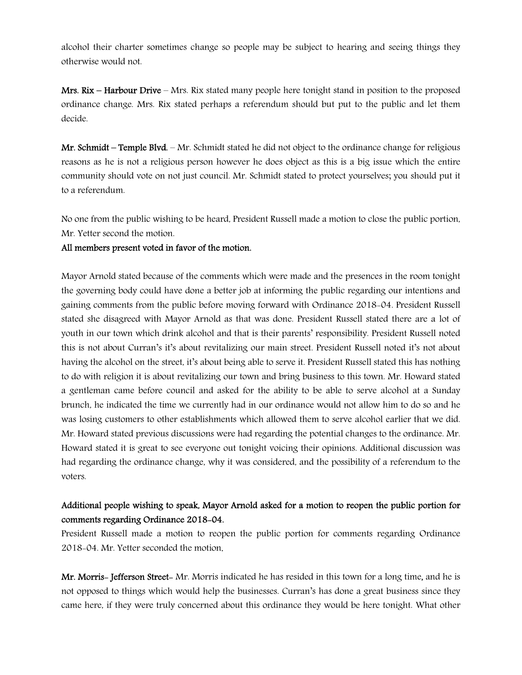alcohol their charter sometimes change so people may be subject to hearing and seeing things they otherwise would not.

Mrs. Rix – Harbour Drive – Mrs. Rix stated many people here tonight stand in position to the proposed ordinance change. Mrs. Rix stated perhaps a referendum should but put to the public and let them decide.

Mr. Schmidt – Temple Blvd. – Mr. Schmidt stated he did not object to the ordinance change for religious reasons as he is not a religious person however he does object as this is a big issue which the entire community should vote on not just council. Mr. Schmidt stated to protect yourselves; you should put it to a referendum.

No one from the public wishing to be heard, President Russell made a motion to close the public portion, Mr. Yetter second the motion.

### All members present voted in favor of the motion.

Mayor Arnold stated because of the comments which were made and the presences in the room tonight the governing body could have done a better job at informing the public regarding our intentions and gaining comments from the public before moving forward with Ordinance 2018-04. President Russell stated she disagreed with Mayor Arnold as that was done. President Russell stated there are a lot of youth in our town which drink alcohol and that is their parents' responsibility. President Russell noted this is not about Curran's it's about revitalizing our main street. President Russell noted it's not about having the alcohol on the street, it's about being able to serve it. President Russell stated this has nothing to do with religion it is about revitalizing our town and bring business to this town. Mr. Howard stated a gentleman came before council and asked for the ability to be able to serve alcohol at a Sunday brunch, he indicated the time we currently had in our ordinance would not allow him to do so and he was losing customers to other establishments which allowed them to serve alcohol earlier that we did. Mr. Howard stated previous discussions were had regarding the potential changes to the ordinance. Mr. Howard stated it is great to see everyone out tonight voicing their opinions. Additional discussion was had regarding the ordinance change, why it was considered, and the possibility of a referendum to the voters.

# Additional people wishing to speak, Mayor Arnold asked for a motion to reopen the public portion for comments regarding Ordinance 2018-04.

President Russell made a motion to reopen the public portion for comments regarding Ordinance 2018-04. Mr. Yetter seconded the motion.

Mr. Morris- Jefferson Street- Mr. Morris indicated he has resided in this town for a long time, and he is not opposed to things which would help the businesses. Curran's has done a great business since they came here, if they were truly concerned about this ordinance they would be here tonight. What other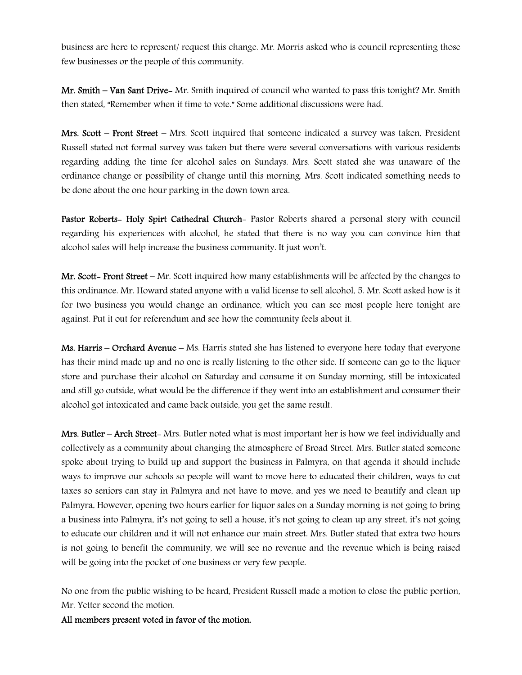business are here to represent/ request this change. Mr. Morris asked who is council representing those few businesses or the people of this community.

Mr. Smith – Van Sant Drive- Mr. Smith inquired of council who wanted to pass this tonight? Mr. Smith then stated, "Remember when it time to vote." Some additional discussions were had.

Mrs. Scott – Front Street – Mrs. Scott inquired that someone indicated a survey was taken. President Russell stated not formal survey was taken but there were several conversations with various residents regarding adding the time for alcohol sales on Sundays. Mrs. Scott stated she was unaware of the ordinance change or possibility of change until this morning. Mrs. Scott indicated something needs to be done about the one hour parking in the down town area.

Pastor Roberts- Holy Spirt Cathedral Church- Pastor Roberts shared a personal story with council regarding his experiences with alcohol, he stated that there is no way you can convince him that alcohol sales will help increase the business community. It just won't.

Mr. Scott- Front Street – Mr. Scott inquired how many establishments will be affected by the changes to this ordinance. Mr. Howard stated anyone with a valid license to sell alcohol, 5. Mr. Scott asked how is it for two business you would change an ordinance, which you can see most people here tonight are against. Put it out for referendum and see how the community feels about it.

Ms. Harris – Orchard Avenue – Ms. Harris stated she has listened to everyone here today that everyone has their mind made up and no one is really listening to the other side. If someone can go to the liquor store and purchase their alcohol on Saturday and consume it on Sunday morning, still be intoxicated and still go outside, what would be the difference if they went into an establishment and consumer their alcohol got intoxicated and came back outside, you get the same result.

Mrs. Butler – Arch Street- Mrs. Butler noted what is most important her is how we feel individually and collectively as a community about changing the atmosphere of Broad Street. Mrs. Butler stated someone spoke about trying to build up and support the business in Palmyra, on that agenda it should include ways to improve our schools so people will want to move here to educated their children, ways to cut taxes so seniors can stay in Palmyra and not have to move, and yes we need to beautify and clean up Palmyra. However, opening two hours earlier for liquor sales on a Sunday morning is not going to bring a business into Palmyra, it's not going to sell a house, it's not going to clean up any street, it's not going to educate our children and it will not enhance our main street. Mrs. Butler stated that extra two hours is not going to benefit the community, we will see no revenue and the revenue which is being raised will be going into the pocket of one business or very few people.

No one from the public wishing to be heard, President Russell made a motion to close the public portion, Mr. Yetter second the motion.

All members present voted in favor of the motion.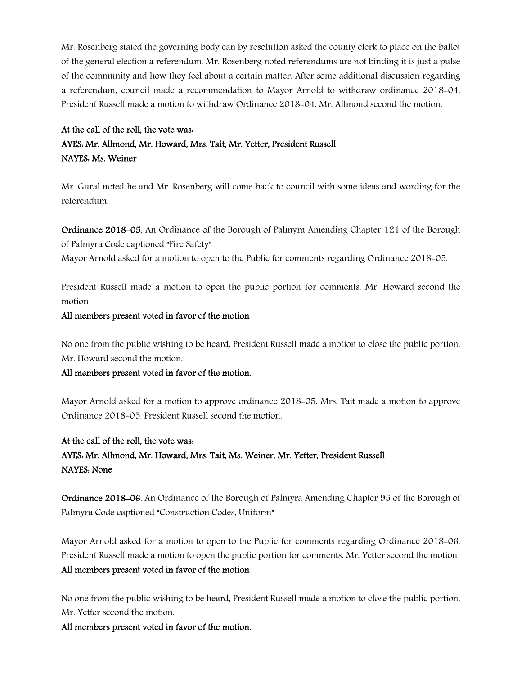Mr. Rosenberg stated the governing body can by resolution asked the county clerk to place on the ballot of the general election a referendum. Mr. Rosenberg noted referendums are not binding it is just a pulse of the community and how they feel about a certain matter. After some additional discussion regarding a referendum, council made a recommendation to Mayor Arnold to withdraw ordinance 2018-04. President Russell made a motion to withdraw Ordinance 2018-04. Mr. Allmond second the motion.

# At the call of the roll, the vote was: AYES: Mr. Allmond, Mr. Howard, Mrs. Tait, Mr. Yetter, President Russell NAYES: Ms. Weiner

Mr. Gural noted he and Mr. Rosenberg will come back to council with some ideas and wording for the referendum.

Ordinance 2018-05, An Ordinance of the Borough of Palmyra Amending Chapter 121 of the Borough of Palmyra Code captioned "Fire Safety"

Mayor Arnold asked for a motion to open to the Public for comments regarding Ordinance 2018-05.

President Russell made a motion to open the public portion for comments. Mr. Howard second the motion

### All members present voted in favor of the motion

No one from the public wishing to be heard, President Russell made a motion to close the public portion, Mr. Howard second the motion.

### All members present voted in favor of the motion.

Mayor Arnold asked for a motion to approve ordinance 2018-05. Mrs. Tait made a motion to approve Ordinance 2018-05. President Russell second the motion.

# At the call of the roll, the vote was: AYES: Mr. Allmond, Mr. Howard, Mrs. Tait, Ms. Weiner, Mr. Yetter, President Russell NAYES: None

Ordinance 2018-06, An Ordinance of the Borough of Palmyra Amending Chapter 95 of the Borough of Palmyra Code captioned "Construction Codes, Uniform"

Mayor Arnold asked for a motion to open to the Public for comments regarding Ordinance 2018-06. President Russell made a motion to open the public portion for comments. Mr. Yetter second the motion All members present voted in favor of the motion

No one from the public wishing to be heard, President Russell made a motion to close the public portion, Mr. Yetter second the motion.

All members present voted in favor of the motion.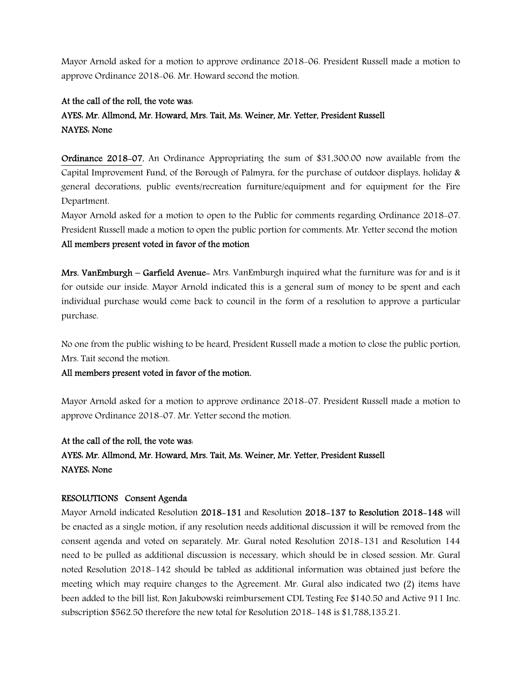Mayor Arnold asked for a motion to approve ordinance 2018-06. President Russell made a motion to approve Ordinance 2018-06. Mr. Howard second the motion.

### At the call of the roll, the vote was:

# AYES: Mr. Allmond, Mr. Howard, Mrs. Tait, Ms. Weiner, Mr. Yetter, President Russell NAYES: None

Ordinance 2018-07, An Ordinance Appropriating the sum of \$31,300.00 now available from the Capital Improvement Fund, of the Borough of Palmyra, for the purchase of outdoor displays, holiday & general decorations, public events/recreation furniture/equipment and for equipment for the Fire Department.

Mayor Arnold asked for a motion to open to the Public for comments regarding Ordinance 2018-07. President Russell made a motion to open the public portion for comments. Mr. Yetter second the motion All members present voted in favor of the motion

Mrs. VanEmburgh – Garfield Avenue- Mrs. VanEmburgh inquired what the furniture was for and is it for outside our inside. Mayor Arnold indicated this is a general sum of money to be spent and each individual purchase would come back to council in the form of a resolution to approve a particular purchase.

No one from the public wishing to be heard, President Russell made a motion to close the public portion, Mrs. Tait second the motion.

### All members present voted in favor of the motion.

Mayor Arnold asked for a motion to approve ordinance 2018-07. President Russell made a motion to approve Ordinance 2018-07. Mr. Yetter second the motion.

### At the call of the roll, the vote was:

AYES: Mr. Allmond, Mr. Howard, Mrs. Tait, Ms. Weiner, Mr. Yetter, President Russell NAYES: None

### RESOLUTIONS Consent Agenda

Mayor Arnold indicated Resolution 2018-131 and Resolution 2018-137 to Resolution 2018-148 will be enacted as a single motion, if any resolution needs additional discussion it will be removed from the consent agenda and voted on separately. Mr. Gural noted Resolution 2018-131 and Resolution 144 need to be pulled as additional discussion is necessary, which should be in closed session. Mr. Gural noted Resolution 2018-142 should be tabled as additional information was obtained just before the meeting which may require changes to the Agreement. Mr. Gural also indicated two (2) items have been added to the bill list, Ron Jakubowski reimbursement CDL Testing Fee \$140.50 and Active 911 Inc. subscription \$562.50 therefore the new total for Resolution 2018-148 is \$1,788,135.21.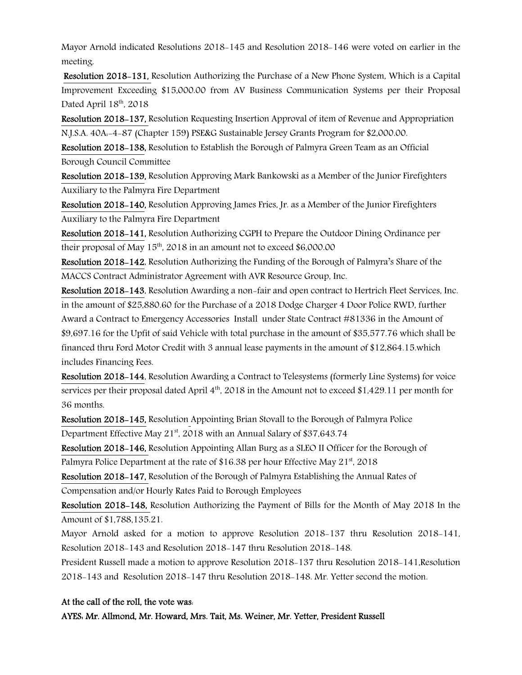Mayor Arnold indicated Resolutions 2018-145 and Resolution 2018-146 were voted on earlier in the meeting.

Resolution 2018-131, Resolution Authorizing the Purchase of a New Phone System, Which is a Capital Improvement Exceeding \$15,000.00 from AV Business Communication Systems per their Proposal Dated April  $18<sup>th</sup>$ , 2018

Resolution 2018-137, Resolution Requesting Insertion Approval of item of Revenue and Appropriation N.J.S.A. 40A:-4-87 (Chapter 159) PSE&G Sustainable Jersey Grants Program for \$2,000.00.

Resolution 2018-138, Resolution to Establish the Borough of Palmyra Green Team as an Official Borough Council Committee

Resolution 2018-139, Resolution Approving Mark Bankowski as a Member of the Junior Firefighters Auxiliary to the Palmyra Fire Department

Resolution 2018-140, Resolution Approving James Fries, Jr. as a Member of the Junior Firefighters Auxiliary to the Palmyra Fire Department

Resolution 2018-141, Resolution Authorizing CGPH to Prepare the Outdoor Dining Ordinance per their proposal of May  $15<sup>th</sup>$ , 2018 in an amount not to exceed \$6,000.00

Resolution 2018-142, Resolution Authorizing the Funding of the Borough of Palmyra's Share of the MACCS Contract Administrator Agreement with AVR Resource Group, Inc.

Resolution 2018-143, Resolution Awarding a non-fair and open contract to Hertrich Fleet Services, Inc. in the amount of \$25,880.60 for the Purchase of a 2018 Dodge Charger 4 Door Police RWD, further Award a Contract to Emergency Accessories Install under State Contract #81336 in the Amount of \$9,697.16 for the Upfit of said Vehicle with total purchase in the amount of \$35,577.76 which shall be financed thru Ford Motor Credit with 3 annual lease payments in the amount of \$12,864.15.which includes Financing Fees.

Resolution 2018-144, Resolution Awarding a Contract to Telesystems (formerly Line Systems) for voice services per their proposal dated April  $4<sup>th</sup>$ , 2018 in the Amount not to exceed \$1,429.11 per month for 36 months.

Resolution 2018-145, Resolution Appointing Brian Stovall to the Borough of Palmyra Police Department Effective May 21<sup>st</sup>, 2018 with an Annual Salary of \$37,643.74

Resolution 2018-146, Resolution Appointing Allan Burg as a SLEO II Officer for the Borough of Palmyra Police Department at the rate of \$16.38 per hour Effective May 21<sup>st</sup>, 2018

Resolution 2018-147, Resolution of the Borough of Palmyra Establishing the Annual Rates of Compensation and/or Hourly Rates Paid to Borough Employees

Resolution 2018-148, Resolution Authorizing the Payment of Bills for the Month of May 2018 In the Amount of \$1,788,135.21.

Mayor Arnold asked for a motion to approve Resolution 2018-137 thru Resolution 2018-141, Resolution 2018-143 and Resolution 2018-147 thru Resolution 2018-148.

President Russell made a motion to approve Resolution 2018-137 thru Resolution 2018-141,Resolution 2018-143 and Resolution 2018-147 thru Resolution 2018-148. Mr. Yetter second the motion.

### At the call of the roll, the vote was:

AYES: Mr. Allmond, Mr. Howard, Mrs. Tait, Ms. Weiner, Mr. Yetter, President Russell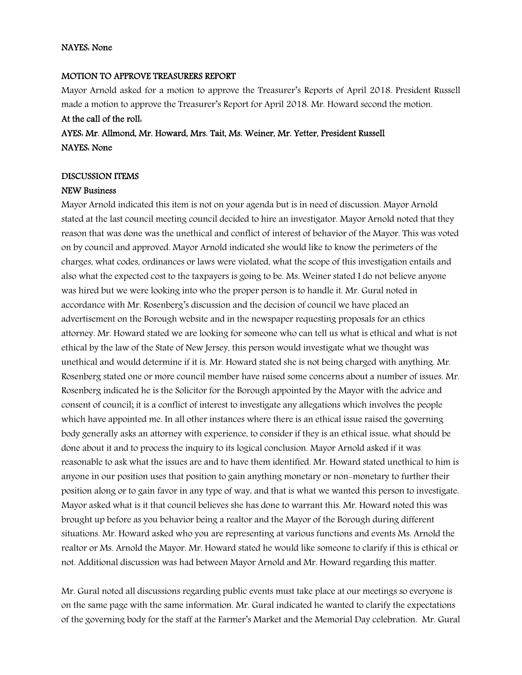#### NAYES: None

#### MOTION TO APPROVE TREASURERS REPORT

Mayor Arnold asked for a motion to approve the Treasurer's Reports of April 2018. President Russell made a motion to approve the Treasurer's Report for April 2018. Mr. Howard second the motion.

# At the call of the roll: AYES: Mr. Allmond, Mr. Howard, Mrs. Tait, Ms. Weiner, Mr. Yetter, President Russell NAYES: None

#### DISCUSSION ITEMS

#### NEW Business

Mayor Arnold indicated this item is not on your agenda but is in need of discussion. Mayor Arnold stated at the last council meeting council decided to hire an investigator. Mayor Arnold noted that they reason that was done was the unethical and conflict of interest of behavior of the Mayor. This was voted on by council and approved. Mayor Arnold indicated she would like to know the perimeters of the charges, what codes, ordinances or laws were violated, what the scope of this investigation entails and also what the expected cost to the taxpayers is going to be. Ms. Weiner stated I do not believe anyone was hired but we were looking into who the proper person is to handle it. Mr. Gural noted in accordance with Mr. Rosenberg's discussion and the decision of council we have placed an advertisement on the Borough website and in the newspaper requesting proposals for an ethics attorney. Mr. Howard stated we are looking for someone who can tell us what is ethical and what is not ethical by the law of the State of New Jersey, this person would investigate what we thought was unethical and would determine if it is. Mr. Howard stated she is not being charged with anything. Mr. Rosenberg stated one or more council member have raised some concerns about a number of issues. Mr. Rosenberg indicated he is the Solicitor for the Borough appointed by the Mayor with the advice and consent of council; it is a conflict of interest to investigate any allegations which involves the people which have appointed me. In all other instances where there is an ethical issue raised the governing body generally asks an attorney with experience, to consider if they is an ethical issue, what should be done about it and to process the inquiry to its logical conclusion. Mayor Arnold asked if it was reasonable to ask what the issues are and to have them identified. Mr. Howard stated unethical to him is anyone in our position uses that position to gain anything monetary or non-monetary to further their position along or to gain favor in any type of way, and that is what we wanted this person to investigate. Mayor asked what is it that council believes she has done to warrant this. Mr. Howard noted this was brought up before as you behavior being a realtor and the Mayor of the Borough during different situations. Mr. Howard asked who you are representing at various functions and events Ms. Arnold the realtor or Ms. Arnold the Mayor. Mr. Howard stated he would like someone to clarify if this is ethical or not. Additional discussion was had between Mayor Arnold and Mr. Howard regarding this matter.

Mr. Gural noted all discussions regarding public events must take place at our meetings so everyone is on the same page with the same information. Mr. Gural indicated he wanted to clarify the expectations of the governing body for the staff at the Farmer's Market and the Memorial Day celebration. Mr. Gural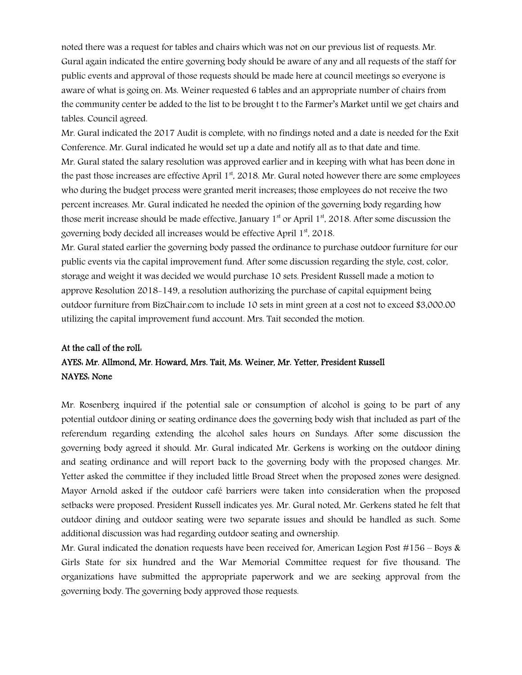noted there was a request for tables and chairs which was not on our previous list of requests. Mr. Gural again indicated the entire governing body should be aware of any and all requests of the staff for public events and approval of those requests should be made here at council meetings so everyone is aware of what is going on. Ms. Weiner requested 6 tables and an appropriate number of chairs from the community center be added to the list to be brought t to the Farmer's Market until we get chairs and tables. Council agreed.

Mr. Gural indicated the 2017 Audit is complete, with no findings noted and a date is needed for the Exit Conference. Mr. Gural indicated he would set up a date and notify all as to that date and time. Mr. Gural stated the salary resolution was approved earlier and in keeping with what has been done in the past those increases are effective April  $1<sup>st</sup>$ , 2018. Mr. Gural noted however there are some employees who during the budget process were granted merit increases; those employees do not receive the two percent increases. Mr. Gural indicated he needed the opinion of the governing body regarding how those merit increase should be made effective, January  $1<sup>st</sup>$  or April  $1<sup>st</sup>$ , 2018. After some discussion the governing body decided all increases would be effective April 1<sup>st</sup>, 2018.

Mr. Gural stated earlier the governing body passed the ordinance to purchase outdoor furniture for our public events via the capital improvement fund. After some discussion regarding the style, cost, color, storage and weight it was decided we would purchase 10 sets. President Russell made a motion to approve Resolution 2018-149, a resolution authorizing the purchase of capital equipment being outdoor furniture from BizChair.com to include 10 sets in mint green at a cost not to exceed \$3,000.00 utilizing the capital improvement fund account. Mrs. Tait seconded the motion.

# At the call of the roll: AYES: Mr. Allmond, Mr. Howard, Mrs. Tait, Ms. Weiner, Mr. Yetter, President Russell NAYES: None

Mr. Rosenberg inquired if the potential sale or consumption of alcohol is going to be part of any potential outdoor dining or seating ordinance does the governing body wish that included as part of the referendum regarding extending the alcohol sales hours on Sundays. After some discussion the governing body agreed it should. Mr. Gural indicated Mr. Gerkens is working on the outdoor dining and seating ordinance and will report back to the governing body with the proposed changes. Mr. Yetter asked the committee if they included little Broad Street when the proposed zones were designed. Mayor Arnold asked if the outdoor café barriers were taken into consideration when the proposed setbacks were proposed. President Russell indicates yes. Mr. Gural noted, Mr. Gerkens stated he felt that outdoor dining and outdoor seating were two separate issues and should be handled as such. Some additional discussion was had regarding outdoor seating and ownership.

Mr. Gural indicated the donation requests have been received for, American Legion Post #156 – Boys & Girls State for six hundred and the War Memorial Committee request for five thousand. The organizations have submitted the appropriate paperwork and we are seeking approval from the governing body. The governing body approved those requests.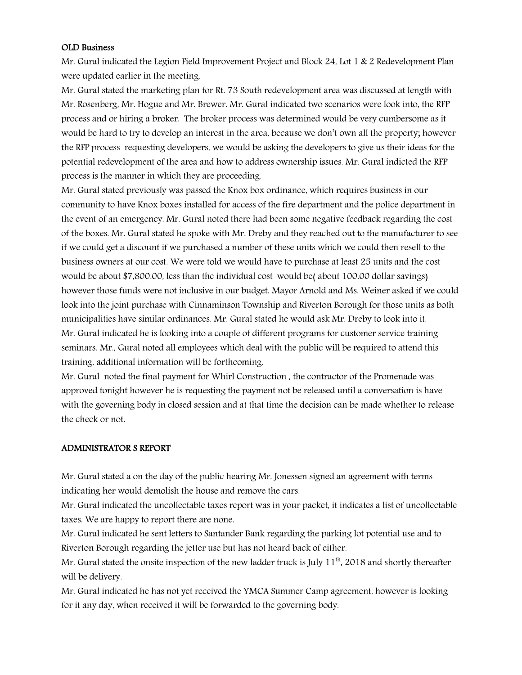#### OLD Business

Mr. Gural indicated the Legion Field Improvement Project and Block 24, Lot 1 & 2 Redevelopment Plan were updated earlier in the meeting.

Mr. Gural stated the marketing plan for Rt. 73 South redevelopment area was discussed at length with Mr. Rosenberg, Mr. Hogue and Mr. Brewer. Mr. Gural indicated two scenarios were look into, the RFP process and or hiring a broker. The broker process was determined would be very cumbersome as it would be hard to try to develop an interest in the area, because we don't own all the property; however the RFP process requesting developers, we would be asking the developers to give us their ideas for the potential redevelopment of the area and how to address ownership issues. Mr. Gural indicted the RFP process is the manner in which they are proceeding.

Mr. Gural stated previously was passed the Knox box ordinance, which requires business in our community to have Knox boxes installed for access of the fire department and the police department in the event of an emergency. Mr. Gural noted there had been some negative feedback regarding the cost of the boxes. Mr. Gural stated he spoke with Mr. Dreby and they reached out to the manufacturer to see if we could get a discount if we purchased a number of these units which we could then resell to the business owners at our cost. We were told we would have to purchase at least 25 units and the cost would be about \$7,800.00, less than the individual cost would be( about 100.00 dollar savings) however those funds were not inclusive in our budget. Mayor Arnold and Ms. Weiner asked if we could look into the joint purchase with Cinnaminson Township and Riverton Borough for those units as both municipalities have similar ordinances. Mr. Gural stated he would ask Mr. Dreby to look into it. Mr. Gural indicated he is looking into a couple of different programs for customer service training seminars. Mr., Gural noted all employees which deal with the public will be required to attend this training, additional information will be forthcoming.

Mr. Gural noted the final payment for Whirl Construction , the contractor of the Promenade was approved tonight however he is requesting the payment not be released until a conversation is have with the governing body in closed session and at that time the decision can be made whether to release the check or not.

### ADMINISTRATOR S REPORT

Mr. Gural stated a on the day of the public hearing Mr. Jonessen signed an agreement with terms indicating her would demolish the house and remove the cars.

Mr. Gural indicated the uncollectable taxes report was in your packet, it indicates a list of uncollectable taxes. We are happy to report there are none.

Mr. Gural indicated he sent letters to Santander Bank regarding the parking lot potential use and to Riverton Borough regarding the jetter use but has not heard back of either.

Mr. Gural stated the onsite inspection of the new ladder truck is July 11<sup>th</sup>, 2018 and shortly thereafter will be delivery.

Mr. Gural indicated he has not yet received the YMCA Summer Camp agreement, however is looking for it any day, when received it will be forwarded to the governing body.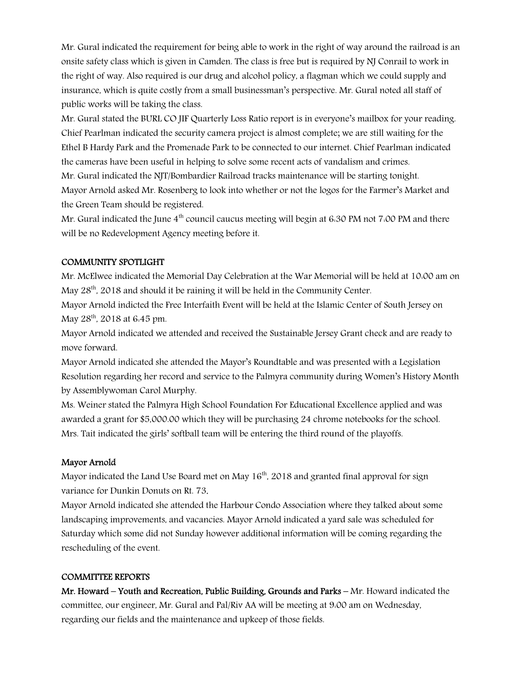Mr. Gural indicated the requirement for being able to work in the right of way around the railroad is an onsite safety class which is given in Camden. The class is free but is required by NJ Conrail to work in the right of way. Also required is our drug and alcohol policy, a flagman which we could supply and insurance, which is quite costly from a small businessman's perspective. Mr. Gural noted all staff of public works will be taking the class.

Mr. Gural stated the BURL CO JIF Quarterly Loss Ratio report is in everyone's mailbox for your reading. Chief Pearlman indicated the security camera project is almost complete; we are still waiting for the Ethel B Hardy Park and the Promenade Park to be connected to our internet. Chief Pearlman indicated the cameras have been useful in helping to solve some recent acts of vandalism and crimes.

Mr. Gural indicated the NJT/Bombardier Railroad tracks maintenance will be starting tonight. Mayor Arnold asked Mr. Rosenberg to look into whether or not the logos for the Farmer's Market and the Green Team should be registered.

Mr. Gural indicated the June  $4<sup>th</sup>$  council caucus meeting will begin at 6.30 PM not 7.00 PM and there will be no Redevelopment Agency meeting before it.

### COMMUNITY SPOTLIGHT

Mr. McElwee indicated the Memorial Day Celebration at the War Memorial will be held at 10:00 am on May 28<sup>th</sup>, 2018 and should it be raining it will be held in the Community Center.

Mayor Arnold indicted the Free Interfaith Event will be held at the Islamic Center of South Jersey on May 28<sup>th</sup>, 2018 at 6:45 pm.

Mayor Arnold indicated we attended and received the Sustainable Jersey Grant check and are ready to move forward.

Mayor Arnold indicated she attended the Mayor's Roundtable and was presented with a Legislation Resolution regarding her record and service to the Palmyra community during Women's History Month by Assemblywoman Carol Murphy.

Ms. Weiner stated the Palmyra High School Foundation For Educational Excellence applied and was awarded a grant for \$5,000.00 which they will be purchasing 24 chrome notebooks for the school. Mrs. Tait indicated the girls' softball team will be entering the third round of the playoffs.

### Mayor Arnold

Mayor indicated the Land Use Board met on May 16<sup>th</sup>, 2018 and granted final approval for sign variance for Dunkin Donuts on Rt. 73.

Mayor Arnold indicated she attended the Harbour Condo Association where they talked about some landscaping improvements, and vacancies. Mayor Arnold indicated a yard sale was scheduled for Saturday which some did not Sunday however additional information will be coming regarding the rescheduling of the event.

### COMMITTEE REPORTS

Mr. Howard – Youth and Recreation, Public Building, Grounds and Parks – Mr. Howard indicated the committee, our engineer, Mr. Gural and Pal/Riv AA will be meeting at 9:00 am on Wednesday, regarding our fields and the maintenance and upkeep of those fields.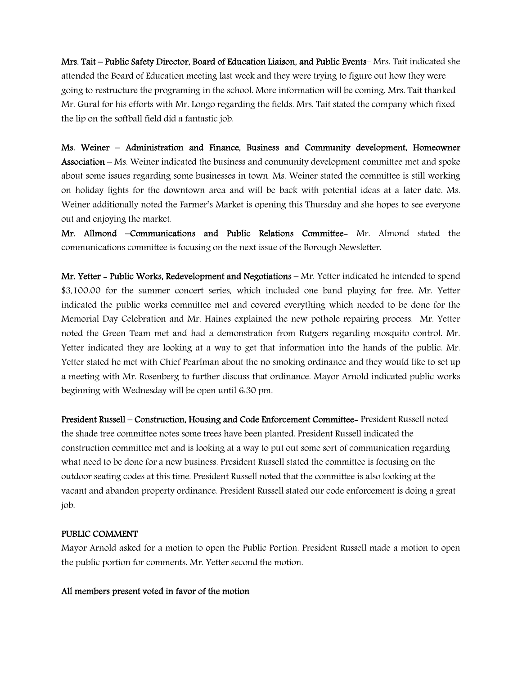Mrs. Tait – Public Safety Director, Board of Education Liaison, and Public Events– Mrs. Tait indicated she attended the Board of Education meeting last week and they were trying to figure out how they were going to restructure the programing in the school. More information will be coming. Mrs. Tait thanked Mr. Gural for his efforts with Mr. Longo regarding the fields. Mrs. Tait stated the company which fixed the lip on the softball field did a fantastic job.

Ms. Weiner – Administration and Finance, Business and Community development, Homeowner Association – Ms. Weiner indicated the business and community development committee met and spoke about some issues regarding some businesses in town. Ms. Weiner stated the committee is still working on holiday lights for the downtown area and will be back with potential ideas at a later date. Ms. Weiner additionally noted the Farmer's Market is opening this Thursday and she hopes to see everyone out and enjoying the market.

Mr. Allmond –Communications and Public Relations Committee- Mr. Almond stated the communications committee is focusing on the next issue of the Borough Newsletter.

Mr. Yetter – Public Works, Redevelopment and Negotiations – Mr. Yetter indicated he intended to spend \$3,100.00 for the summer concert series, which included one band playing for free. Mr. Yetter indicated the public works committee met and covered everything which needed to be done for the Memorial Day Celebration and Mr. Haines explained the new pothole repairing process. Mr. Yetter noted the Green Team met and had a demonstration from Rutgers regarding mosquito control. Mr. Yetter indicated they are looking at a way to get that information into the hands of the public. Mr. Yetter stated he met with Chief Pearlman about the no smoking ordinance and they would like to set up a meeting with Mr. Rosenberg to further discuss that ordinance. Mayor Arnold indicated public works beginning with Wednesday will be open until 6:30 pm.

President Russell – Construction, Housing and Code Enforcement Committee- President Russell noted the shade tree committee notes some trees have been planted. President Russell indicated the construction committee met and is looking at a way to put out some sort of communication regarding what need to be done for a new business. President Russell stated the committee is focusing on the outdoor seating codes at this time. President Russell noted that the committee is also looking at the vacant and abandon property ordinance. President Russell stated our code enforcement is doing a great job.

### PUBLIC COMMENT

Mayor Arnold asked for a motion to open the Public Portion. President Russell made a motion to open the public portion for comments. Mr. Yetter second the motion.

#### All members present voted in favor of the motion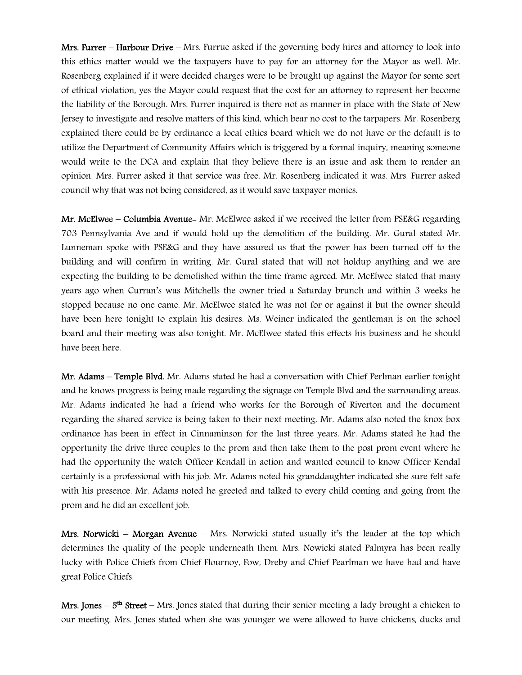Mrs. Furrer – Harbour Drive – Mrs. Furrue asked if the governing body hires and attorney to look into this ethics matter would we the taxpayers have to pay for an attorney for the Mayor as well. Mr. Rosenberg explained if it were decided charges were to be brought up against the Mayor for some sort of ethical violation, yes the Mayor could request that the cost for an attorney to represent her become the liability of the Borough. Mrs. Furrer inquired is there not as manner in place with the State of New Jersey to investigate and resolve matters of this kind, which bear no cost to the tarpapers. Mr. Rosenberg explained there could be by ordinance a local ethics board which we do not have or the default is to utilize the Department of Community Affairs which is triggered by a formal inquiry, meaning someone would write to the DCA and explain that they believe there is an issue and ask them to render an opinion. Mrs. Furrer asked it that service was free. Mr. Rosenberg indicated it was. Mrs. Furrer asked council why that was not being considered, as it would save taxpayer monies.

Mr. McElwee – Columbia Avenue- Mr. McElwee asked if we received the letter from PSE&G regarding 703 Pennsylvania Ave and if would hold up the demolition of the building. Mr. Gural stated Mr. Lunneman spoke with PSE&G and they have assured us that the power has been turned off to the building and will confirm in writing. Mr. Gural stated that will not holdup anything and we are expecting the building to be demolished within the time frame agreed. Mr. McElwee stated that many years ago when Curran's was Mitchells the owner tried a Saturday brunch and within 3 weeks he stopped because no one came. Mr. McElwee stated he was not for or against it but the owner should have been here tonight to explain his desires. Ms. Weiner indicated the gentleman is on the school board and their meeting was also tonight. Mr. McElwee stated this effects his business and he should have been here.

Mr. Adams – Temple Blvd. Mr. Adams stated he had a conversation with Chief Perlman earlier tonight and he knows progress is being made regarding the signage on Temple Blvd and the surrounding areas. Mr. Adams indicated he had a friend who works for the Borough of Riverton and the document regarding the shared service is being taken to their next meeting. Mr. Adams also noted the knox box ordinance has been in effect in Cinnaminson for the last three years. Mr. Adams stated he had the opportunity the drive three couples to the prom and then take them to the post prom event where he had the opportunity the watch Officer Kendall in action and wanted council to know Officer Kendal certainly is a professional with his job. Mr. Adams noted his granddaughter indicated she sure felt safe with his presence. Mr. Adams noted he greeted and talked to every child coming and going from the prom and he did an excellent job.

Mrs. Norwicki – Morgan Avenue – Mrs. Norwicki stated usually it's the leader at the top which determines the quality of the people underneath them. Mrs. Nowicki stated Palmyra has been really lucky with Police Chiefs from Chief Flournoy, Fow, Dreby and Chief Pearlman we have had and have great Police Chiefs.

**Mrs. Jones – 5<sup>th</sup> Street –** Mrs. Jones stated that during their senior meeting a lady brought a chicken to our meeting. Mrs. Jones stated when she was younger we were allowed to have chickens, ducks and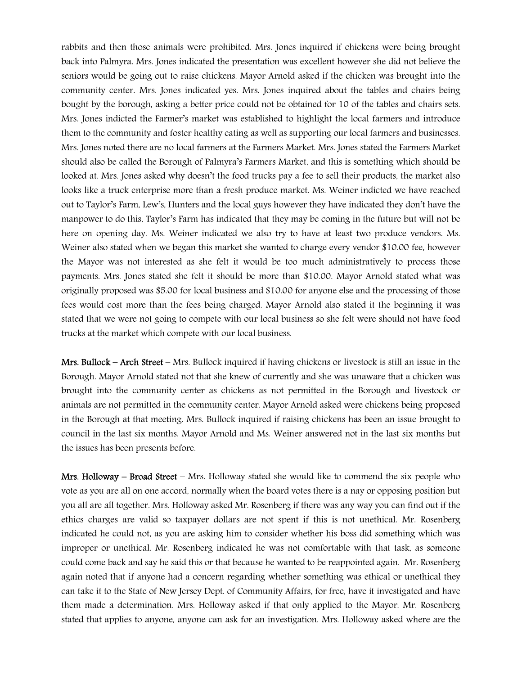rabbits and then those animals were prohibited. Mrs. Jones inquired if chickens were being brought back into Palmyra. Mrs. Jones indicated the presentation was excellent however she did not believe the seniors would be going out to raise chickens. Mayor Arnold asked if the chicken was brought into the community center. Mrs. Jones indicated yes. Mrs. Jones inquired about the tables and chairs being bought by the borough, asking a better price could not be obtained for 10 of the tables and chairs sets. Mrs. Jones indicted the Farmer's market was established to highlight the local farmers and introduce them to the community and foster healthy eating as well as supporting our local farmers and businesses. Mrs. Jones noted there are no local farmers at the Farmers Market. Mrs. Jones stated the Farmers Market should also be called the Borough of Palmyra's Farmers Market, and this is something which should be looked at. Mrs. Jones asked why doesn't the food trucks pay a fee to sell their products, the market also looks like a truck enterprise more than a fresh produce market. Ms. Weiner indicted we have reached out to Taylor's Farm, Lew's, Hunters and the local guys however they have indicated they don't have the manpower to do this, Taylor's Farm has indicated that they may be coming in the future but will not be here on opening day. Ms. Weiner indicated we also try to have at least two produce vendors. Ms. Weiner also stated when we began this market she wanted to charge every vendor \$10.00 fee, however the Mayor was not interested as she felt it would be too much administratively to process those payments. Mrs. Jones stated she felt it should be more than \$10.00. Mayor Arnold stated what was originally proposed was \$5.00 for local business and \$10.00 for anyone else and the processing of those fees would cost more than the fees being charged. Mayor Arnold also stated it the beginning it was stated that we were not going to compete with our local business so she felt were should not have food trucks at the market which compete with our local business.

Mrs. Bullock – Arch Street – Mrs. Bullock inquired if having chickens or livestock is still an issue in the Borough. Mayor Arnold stated not that she knew of currently and she was unaware that a chicken was brought into the community center as chickens as not permitted in the Borough and livestock or animals are not permitted in the community center. Mayor Arnold asked were chickens being proposed in the Borough at that meeting. Mrs. Bullock inquired if raising chickens has been an issue brought to council in the last six months. Mayor Arnold and Ms. Weiner answered not in the last six months but the issues has been presents before.

Mrs. Holloway – Broad Street – Mrs. Holloway stated she would like to commend the six people who vote as you are all on one accord, normally when the board votes there is a nay or opposing position but you all are all together. Mrs. Holloway asked Mr. Rosenberg if there was any way you can find out if the ethics charges are valid so taxpayer dollars are not spent if this is not unethical. Mr. Rosenberg indicated he could not, as you are asking him to consider whether his boss did something which was improper or unethical. Mr. Rosenberg indicated he was not comfortable with that task, as someone could come back and say he said this or that because he wanted to be reappointed again. Mr. Rosenberg again noted that if anyone had a concern regarding whether something was ethical or unethical they can take it to the State of New Jersey Dept. of Community Affairs, for free, have it investigated and have them made a determination. Mrs. Holloway asked if that only applied to the Mayor. Mr. Rosenberg stated that applies to anyone, anyone can ask for an investigation. Mrs. Holloway asked where are the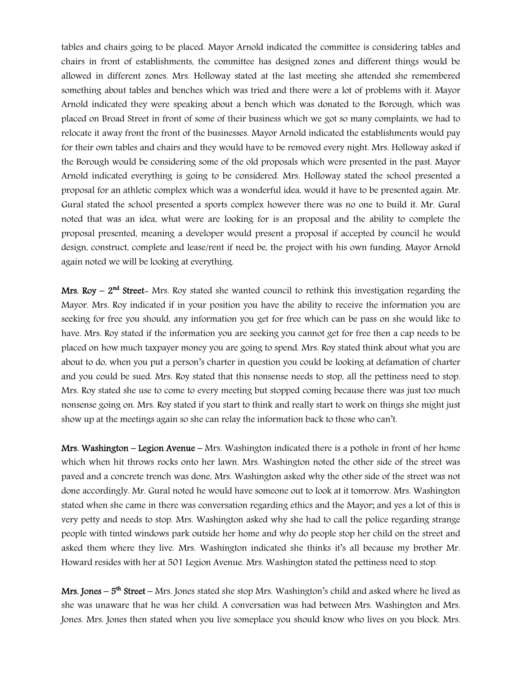tables and chairs going to be placed. Mayor Arnold indicated the committee is considering tables and chairs in front of establishments, the committee has designed zones and different things would be allowed in different zones. Mrs. Holloway stated at the last meeting she attended she remembered something about tables and benches which was tried and there were a lot of problems with it. Mayor Arnold indicated they were speaking about a bench which was donated to the Borough, which was placed on Broad Street in front of some of their business which we got so many complaints, we had to relocate it away front the front of the businesses. Mayor Arnold indicated the establishments would pay for their own tables and chairs and they would have to be removed every night. Mrs. Holloway asked if the Borough would be considering some of the old proposals which were presented in the past. Mayor Arnold indicated everything is going to be considered. Mrs. Holloway stated the school presented a proposal for an athletic complex which was a wonderful idea, would it have to be presented again. Mr. Gural stated the school presented a sports complex however there was no one to build it. Mr. Gural noted that was an idea, what were are looking for is an proposal and the ability to complete the proposal presented, meaning a developer would present a proposal if accepted by council he would design, construct, complete and lease/rent if need be, the project with his own funding. Mayor Arnold again noted we will be looking at everything.

**Mrs. Roy –**  $2<sup>nd</sup>$  **Street-** Mrs. Roy stated she wanted council to rethink this investigation regarding the Mayor. Mrs. Roy indicated if in your position you have the ability to receive the information you are seeking for free you should, any information you get for free which can be pass on she would like to have. Mrs. Roy stated if the information you are seeking you cannot get for free then a cap needs to be placed on how much taxpayer money you are going to spend. Mrs. Roy stated think about what you are about to do, when you put a person's charter in question you could be looking at defamation of charter and you could be sued. Mrs. Roy stated that this nonsense needs to stop, all the pettiness need to stop. Mrs. Roy stated she use to come to every meeting but stopped coming because there was just too much nonsense going on. Mrs. Roy stated if you start to think and really start to work on things she might just show up at the meetings again so she can relay the information back to those who can't.

Mrs. Washington – Legion Avenue – Mrs. Washington indicated there is a pothole in front of her home which when hit throws rocks onto her lawn. Mrs. Washington noted the other side of the street was paved and a concrete trench was done, Mrs. Washington asked why the other side of the street was not done accordingly. Mr. Gural noted he would have someone out to look at it tomorrow. Mrs. Washington stated when she came in there was conversation regarding ethics and the Mayor; and yes a lot of this is very petty and needs to stop. Mrs. Washington asked why she had to call the police regarding strange people with tinted windows park outside her home and why do people stop her child on the street and asked them where they live. Mrs. Washington indicated she thinks it's all because my brother Mr. Howard resides with her at 501 Legion Avenue. Mrs. Washington stated the pettiness need to stop.

**Mrs. Jones – 5<sup>th</sup> Street –** Mrs. Jones stated she stop Mrs. Washington's child and asked where he lived as she was unaware that he was her child. A conversation was had between Mrs. Washington and Mrs. Jones. Mrs. Jones then stated when you live someplace you should know who lives on you block. Mrs.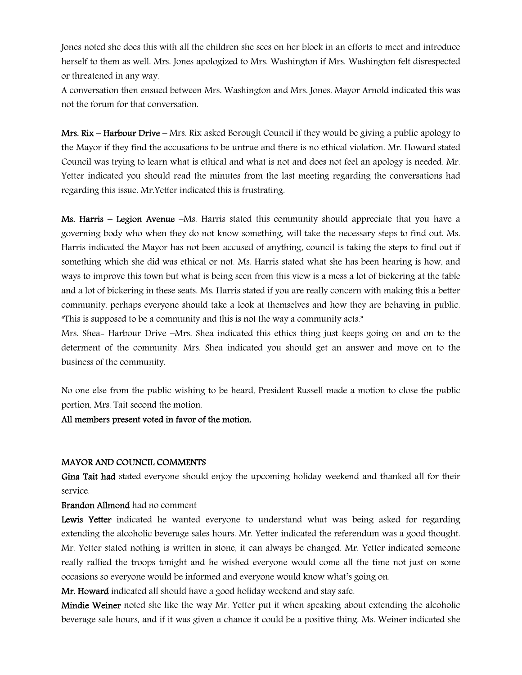Jones noted she does this with all the children she sees on her block in an efforts to meet and introduce herself to them as well. Mrs. Jones apologized to Mrs. Washington if Mrs. Washington felt disrespected or threatened in any way.

A conversation then ensued between Mrs. Washington and Mrs. Jones. Mayor Arnold indicated this was not the forum for that conversation.

Mrs. Rix – Harbour Drive – Mrs. Rix asked Borough Council if they would be giving a public apology to the Mayor if they find the accusations to be untrue and there is no ethical violation. Mr. Howard stated Council was trying to learn what is ethical and what is not and does not feel an apology is needed. Mr. Yetter indicated you should read the minutes from the last meeting regarding the conversations had regarding this issue. Mr.Yetter indicated this is frustrating.

Ms. Harris – Legion Avenue –Ms. Harris stated this community should appreciate that you have a governing body who when they do not know something, will take the necessary steps to find out. Ms. Harris indicated the Mayor has not been accused of anything, council is taking the steps to find out if something which she did was ethical or not. Ms. Harris stated what she has been hearing is how, and ways to improve this town but what is being seen from this view is a mess a lot of bickering at the table and a lot of bickering in these seats. Ms. Harris stated if you are really concern with making this a better community, perhaps everyone should take a look at themselves and how they are behaving in public. "This is supposed to be a community and this is not the way a community acts."

Mrs. Shea- Harbour Drive –Mrs. Shea indicated this ethics thing just keeps going on and on to the determent of the community. Mrs. Shea indicated you should get an answer and move on to the business of the community.

No one else from the public wishing to be heard, President Russell made a motion to close the public portion, Mrs. Tait second the motion.

### All members present voted in favor of the motion.

### MAYOR AND COUNCIL COMMENTS

Gina Tait had stated everyone should enjoy the upcoming holiday weekend and thanked all for their service.

Brandon Allmond had no comment

Lewis Yetter indicated he wanted everyone to understand what was being asked for regarding extending the alcoholic beverage sales hours. Mr. Yetter indicated the referendum was a good thought. Mr. Yetter stated nothing is written in stone, it can always be changed. Mr. Yetter indicated someone really rallied the troops tonight and he wished everyone would come all the time not just on some occasions so everyone would be informed and everyone would know what's going on.

Mr. Howard indicated all should have a good holiday weekend and stay safe.

Mindie Weiner noted she like the way Mr. Yetter put it when speaking about extending the alcoholic beverage sale hours, and if it was given a chance it could be a positive thing. Ms. Weiner indicated she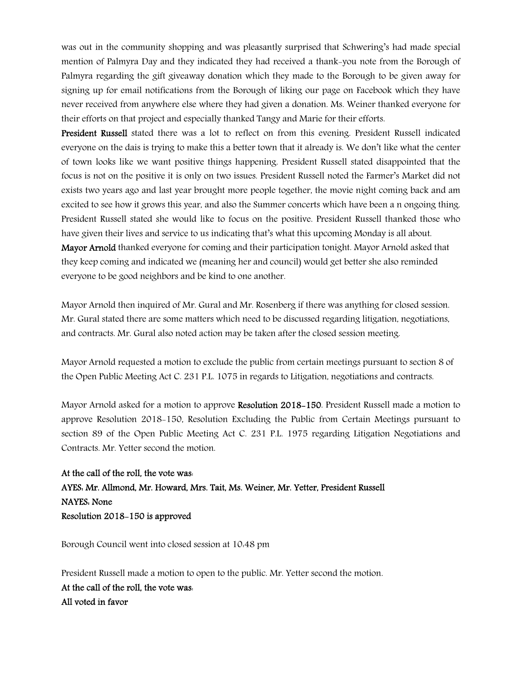was out in the community shopping and was pleasantly surprised that Schwering's had made special mention of Palmyra Day and they indicated they had received a thank-you note from the Borough of Palmyra regarding the gift giveaway donation which they made to the Borough to be given away for signing up for email notifications from the Borough of liking our page on Facebook which they have never received from anywhere else where they had given a donation. Ms. Weiner thanked everyone for their efforts on that project and especially thanked Tangy and Marie for their efforts.

President Russell stated there was a lot to reflect on from this evening. President Russell indicated everyone on the dais is trying to make this a better town that it already is. We don't like what the center of town looks like we want positive things happening. President Russell stated disappointed that the focus is not on the positive it is only on two issues. President Russell noted the Farmer's Market did not exists two years ago and last year brought more people together, the movie night coming back and am excited to see how it grows this year, and also the Summer concerts which have been a n ongoing thing. President Russell stated she would like to focus on the positive. President Russell thanked those who have given their lives and service to us indicating that's what this upcoming Monday is all about. Mayor Arnold thanked everyone for coming and their participation tonight. Mayor Arnold asked that

they keep coming and indicated we (meaning her and council) would get better she also reminded everyone to be good neighbors and be kind to one another.

Mayor Arnold then inquired of Mr. Gural and Mr. Rosenberg if there was anything for closed session. Mr. Gural stated there are some matters which need to be discussed regarding litigation, negotiations, and contracts. Mr. Gural also noted action may be taken after the closed session meeting.

Mayor Arnold requested a motion to exclude the public from certain meetings pursuant to section 8 of the Open Public Meeting Act C. 231 P.L. 1075 in regards to Litigation, negotiations and contracts.

Mayor Arnold asked for a motion to approve Resolution 2018–150. President Russell made a motion to approve Resolution 2018-150, Resolution Excluding the Public from Certain Meetings pursuant to section 89 of the Open Public Meeting Act C. 231 P.L. 1975 regarding Litigation Negotiations and Contracts. Mr. Yetter second the motion.

At the call of the roll, the vote was: AYES: Mr. Allmond, Mr. Howard, Mrs. Tait, Ms. Weiner, Mr. Yetter, President Russell NAYES: None Resolution 2018-150 is approved

Borough Council went into closed session at 10:48 pm

President Russell made a motion to open to the public. Mr. Yetter second the motion. At the call of the roll, the vote was: All voted in favor